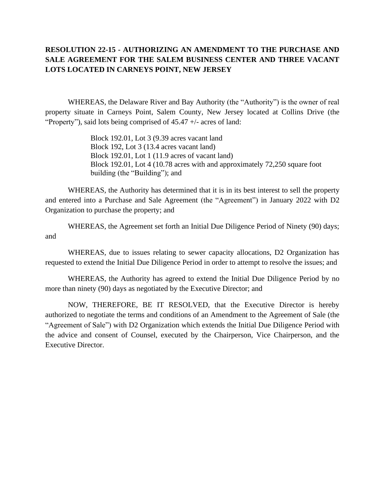## **RESOLUTION 22-15 - AUTHORIZING AN AMENDMENT TO THE PURCHASE AND SALE AGREEMENT FOR THE SALEM BUSINESS CENTER AND THREE VACANT LOTS LOCATED IN CARNEYS POINT, NEW JERSEY**

WHEREAS, the Delaware River and Bay Authority (the "Authority") is the owner of real property situate in Carneys Point, Salem County, New Jersey located at Collins Drive (the "Property"), said lots being comprised of 45.47 +/- acres of land:

> Block 192.01, Lot 3 (9.39 acres vacant land Block 192, Lot 3 (13.4 acres vacant land) Block 192.01, Lot 1 (11.9 acres of vacant land) Block 192.01, Lot 4 (10.78 acres with and approximately 72,250 square foot building (the "Building"); and

WHEREAS, the Authority has determined that it is in its best interest to sell the property and entered into a Purchase and Sale Agreement (the "Agreement") in January 2022 with D2 Organization to purchase the property; and

WHEREAS, the Agreement set forth an Initial Due Diligence Period of Ninety (90) days; and

WHEREAS, due to issues relating to sewer capacity allocations, D2 Organization has requested to extend the Initial Due Diligence Period in order to attempt to resolve the issues; and

WHEREAS, the Authority has agreed to extend the Initial Due Diligence Period by no more than ninety (90) days as negotiated by the Executive Director; and

NOW, THEREFORE, BE IT RESOLVED, that the Executive Director is hereby authorized to negotiate the terms and conditions of an Amendment to the Agreement of Sale (the "Agreement of Sale") with D2 Organization which extends the Initial Due Diligence Period with the advice and consent of Counsel, executed by the Chairperson, Vice Chairperson, and the Executive Director.